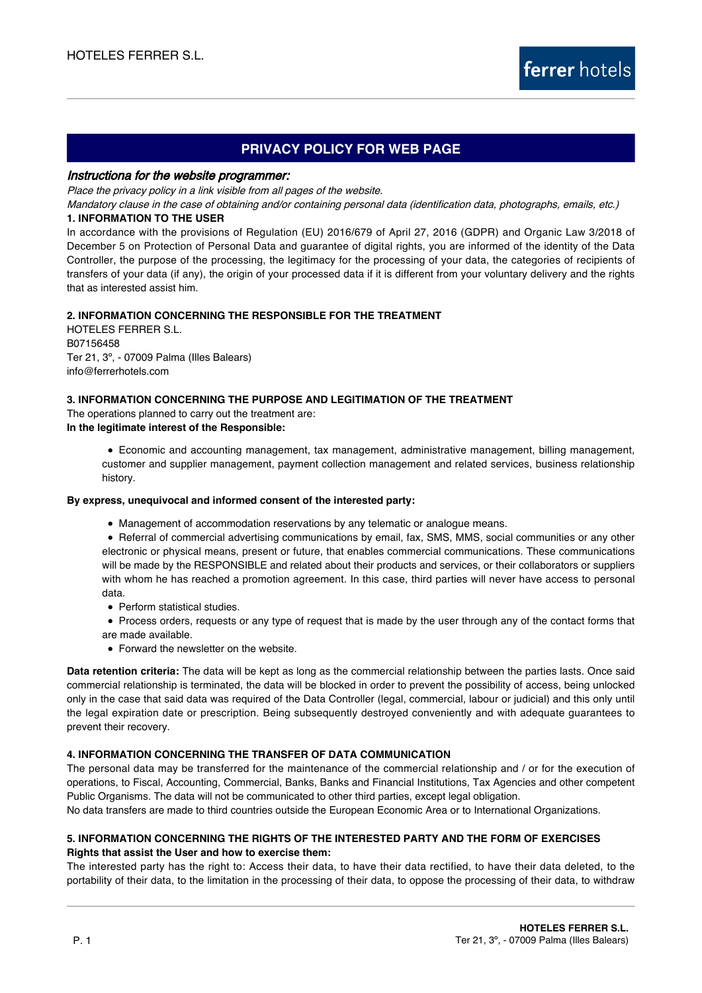# **PRIVACY POLICY FOR WEB PAGE**

#### Instructiona for the website programmer:

Place the privacy policy in a link visible from all pages of the website.

Mandatory clause in the case of obtaining and/or containing personal data (identification data, photographs, emails, etc.)

# **1. INFORMATION TO THE USER**

In accordance with the provisions of Regulation (EU) 2016/679 of April 27, 2016 (GDPR) and Organic Law 3/2018 of December 5 on Protection of Personal Data and guarantee of digital rights, you are informed of the identity of the Data Controller, the purpose of the processing, the legitimacy for the processing of your data, the categories of recipients of transfers of your data (if any), the origin of your processed data if it is different from your voluntary delivery and the rights that as interested assist him.

# **2. INFORMATION CONCERNING THE RESPONSIBLE FOR THE TREATMENT**

HOTELES FERRER S.L. B07156458 Ter 21, 3º, - 07009 Palma (Illes Balears) info@ferrerhotels.com

# **3. INFORMATION CONCERNING THE PURPOSE AND LEGITIMATION OF THE TREATMENT**

The operations planned to carry out the treatment are:

**In the legitimate interest of the Responsible:**

Economic and accounting management, tax management, administrative management, billing management, customer and supplier management, payment collection management and related services, business relationship history.

#### **By express, unequivocal and informed consent of the interested party:**

Management of accommodation reservations by any telematic or analogue means.

Referral of commercial advertising communications by email, fax, SMS, MMS, social communities or any other electronic or physical means, present or future, that enables commercial communications. These communications will be made by the RESPONSIBLE and related about their products and services, or their collaborators or suppliers with whom he has reached a promotion agreement. In this case, third parties will never have access to personal data.

- Perform statistical studies.
- Process orders, requests or any type of request that is made by the user through any of the contact forms that are made available.
- Forward the newsletter on the website.

**Data retention criteria:** The data will be kept as long as the commercial relationship between the parties lasts. Once said commercial relationship is terminated, the data will be blocked in order to prevent the possibility of access, being unlocked only in the case that said data was required of the Data Controller (legal, commercial, labour or judicial) and this only until the legal expiration date or prescription. Being subsequently destroyed conveniently and with adequate guarantees to prevent their recovery.

#### **4. INFORMATION CONCERNING THE TRANSFER OF DATA COMMUNICATION**

The personal data may be transferred for the maintenance of the commercial relationship and / or for the execution of operations, to Fiscal, Accounting, Commercial, Banks, Banks and Financial Institutions, Tax Agencies and other competent Public Organisms. The data will not be communicated to other third parties, except legal obligation.

No data transfers are made to third countries outside the European Economic Area or to International Organizations.

# **5. INFORMATION CONCERNING THE RIGHTS OF THE INTERESTED PARTY AND THE FORM OF EXERCISES Rights that assist the User and how to exercise them:**

The interested party has the right to: Access their data, to have their data rectified, to have their data deleted, to the portability of their data, to the limitation in the processing of their data, to oppose the processing of their data, to withdraw